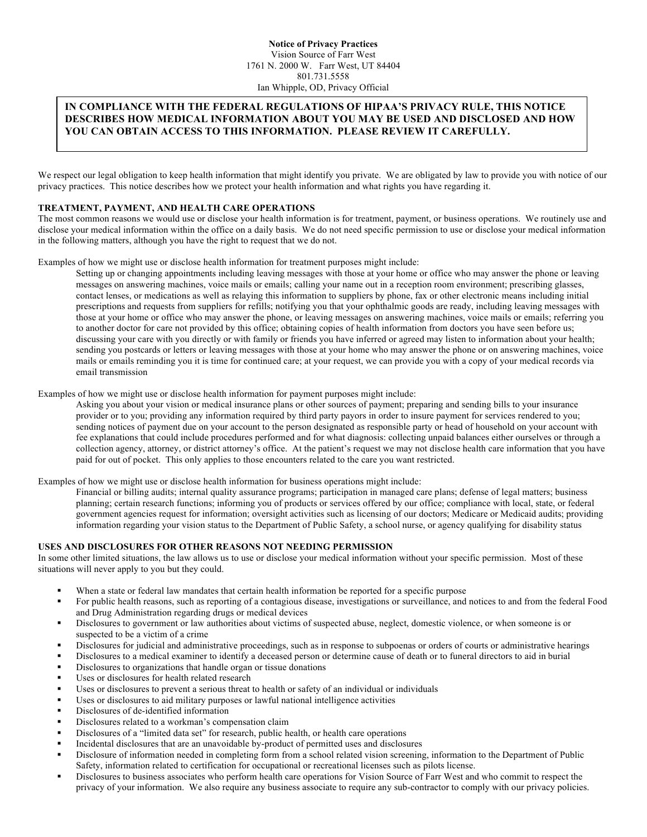# **IN COMPLIANCE WITH THE FEDERAL REGULATIONS OF HIPAA'S PRIVACY RULE, THIS NOTICE DESCRIBES HOW MEDICAL INFORMATION ABOUT YOU MAY BE USED AND DISCLOSED AND HOW YOU CAN OBTAIN ACCESS TO THIS INFORMATION. PLEASE REVIEW IT CAREFULLY.**

We respect our legal obligation to keep health information that might identify you private. We are obligated by law to provide you with notice of our privacy practices. This notice describes how we protect your health information and what rights you have regarding it.

#### **TREATMENT, PAYMENT, AND HEALTH CARE OPERATIONS**

The most common reasons we would use or disclose your health information is for treatment, payment, or business operations. We routinely use and disclose your medical information within the office on a daily basis. We do not need specific permission to use or disclose your medical information in the following matters, although you have the right to request that we do not.

Examples of how we might use or disclose health information for treatment purposes might include:

Setting up or changing appointments including leaving messages with those at your home or office who may answer the phone or leaving messages on answering machines, voice mails or emails; calling your name out in a reception room environment; prescribing glasses, contact lenses, or medications as well as relaying this information to suppliers by phone, fax or other electronic means including initial prescriptions and requests from suppliers for refills; notifying you that your ophthalmic goods are ready, including leaving messages with those at your home or office who may answer the phone, or leaving messages on answering machines, voice mails or emails; referring you to another doctor for care not provided by this office; obtaining copies of health information from doctors you have seen before us; discussing your care with you directly or with family or friends you have inferred or agreed may listen to information about your health; sending you postcards or letters or leaving messages with those at your home who may answer the phone or on answering machines, voice mails or emails reminding you it is time for continued care; at your request, we can provide you with a copy of your medical records via email transmission

Examples of how we might use or disclose health information for payment purposes might include:

Asking you about your vision or medical insurance plans or other sources of payment; preparing and sending bills to your insurance provider or to you; providing any information required by third party payors in order to insure payment for services rendered to you; sending notices of payment due on your account to the person designated as responsible party or head of household on your account with fee explanations that could include procedures performed and for what diagnosis: collecting unpaid balances either ourselves or through a collection agency, attorney, or district attorney's office. At the patient's request we may not disclose health care information that you have paid for out of pocket. This only applies to those encounters related to the care you want restricted.

Examples of how we might use or disclose health information for business operations might include:

Financial or billing audits; internal quality assurance programs; participation in managed care plans; defense of legal matters; business planning; certain research functions; informing you of products or services offered by our office; compliance with local, state, or federal government agencies request for information; oversight activities such as licensing of our doctors; Medicare or Medicaid audits; providing information regarding your vision status to the Department of Public Safety, a school nurse, or agency qualifying for disability status

### **USES AND DISCLOSURES FOR OTHER REASONS NOT NEEDING PERMISSION**

In some other limited situations, the law allows us to use or disclose your medical information without your specific permission. Most of these situations will never apply to you but they could.

- When a state or federal law mandates that certain health information be reported for a specific purpose
- ! For public health reasons, such as reporting of a contagious disease, investigations or surveillance, and notices to and from the federal Food and Drug Administration regarding drugs or medical devices
- ! Disclosures to government or law authorities about victims of suspected abuse, neglect, domestic violence, or when someone is or suspected to be a victim of a crime
- ! Disclosures for judicial and administrative proceedings, such as in response to subpoenas or orders of courts or administrative hearings
- ! Disclosures to a medical examiner to identify a deceased person or determine cause of death or to funeral directors to aid in burial
- Disclosures to organizations that handle organ or tissue donations
- Uses or disclosures for health related research
- Uses or disclosures to prevent a serious threat to health or safety of an individual or individuals
- ! Uses or disclosures to aid military purposes or lawful national intelligence activities
- ! Disclosures of de-identified information
- ! Disclosures related to a workman's compensation claim
- Disclosures of a "limited data set" for research, public health, or health care operations
- ! Incidental disclosures that are an unavoidable by-product of permitted uses and disclosures
- ! Disclosure of information needed in completing form from a school related vision screening, information to the Department of Public Safety, information related to certification for occupational or recreational licenses such as pilots license.
- ! Disclosures to business associates who perform health care operations for Vision Source of Farr West and who commit to respect the privacy of your information. We also require any business associate to require any sub-contractor to comply with our privacy policies.